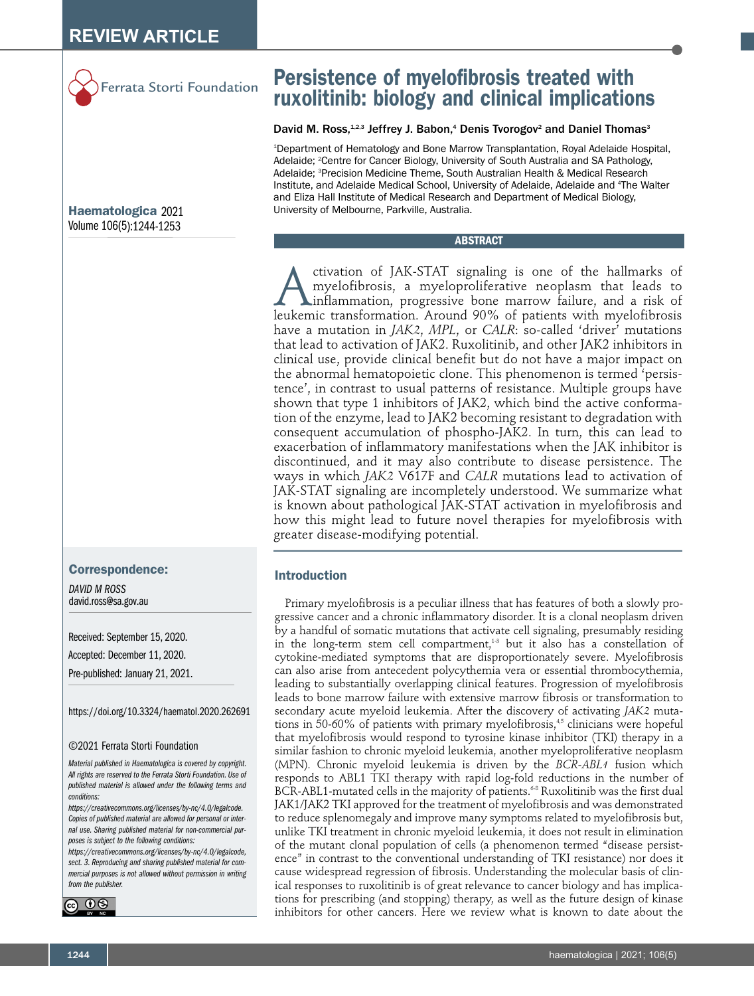

## **Haematologica** 2021 Volume 106(5):1244-1253

# **Correspondence:**

*DAVID M ROSS*  david.ross@sa.gov.au

Received: September 15, 2020. Accepted: December 11, 2020.

Pre-published: January 21, 2021.

https://doi.org/10.3324/haematol.2020.262691

#### ©2021 Ferrata Storti Foundation

*Material published in Haematologica is covered by copyright. All rights are reserved to the Ferrata Storti Foundation. Use of published material is allowed under the following terms and conditions:* 

*https://creativecommons.org/licenses/by-nc/4.0/legalcode. Copies of published material are allowed for personal or internal use. Sharing published material for non-commercial purposes is subject to the following conditions:* 

*https://creativecommons.org/licenses/by-nc/4.0/legalcode, sect. 3. Reproducing and sharing published material for commercial purposes is not allowed without permission in writing from the publisher.*



# **Persistence of myelofibrosis treated with ruxolitinib: biology and clinical implications**

## David M. Ross, $12,3$  Jeffrey J. Babon,<sup>4</sup> Denis Tvorogov<sup>2</sup> and Daniel Thomas<sup>3</sup>

1 Department of Hematology and Bone Marrow Transplantation, Royal Adelaide Hospital, Adelaide; <sup>2</sup>Centre for Cancer Biology, University of South Australia and SA Pathology, Adelaide; <sup>s</sup>Precision Medicine Theme, South Australian Health & Medical Research Institute, and Adelaide Medical School, University of Adelaide, Adelaide and 4 The Walter and Eliza Hall Institute of Medical Research and Department of Medical Biology, University of Melbourne, Parkville, Australia.

#### **ABSTRACT**

ctivation of JAK-STAT signaling is one of the hallmarks of myelofibrosis, a myeloproliferative neoplasm that leads to leukemic transformation. Around 90% of patients with myelofibrosis myelofibrosis, a myeloproliferative neoplasm that leads to inflammation, progressive bone marrow failure, and a risk of have a mutation in *JAK2*, *MPL*, or *CALR*: so-called 'driver' mutations that lead to activation of JAK2. Ruxolitinib, and other JAK2 inhibitors in clinical use, provide clinical benefit but do not have a major impact on the abnormal hematopoietic clone. This phenomenon is termed 'persistence', in contrast to usual patterns of resistance. Multiple groups have shown that type 1 inhibitors of JAK2, which bind the active conformation of the enzyme, lead to JAK2 becoming resistant to degradation with consequent accumulation of phospho-JAK2. In turn, this can lead to exacerbation of inflammatory manifestations when the JAK inhibitor is discontinued, and it may also contribute to disease persistence. The ways in which *JAK2* V617F and *CALR* mutations lead to activation of JAK-STAT signaling are incompletely understood. We summarize what is known about pathological JAK-STAT activation in myelofibrosis and how this might lead to future novel therapies for myelofibrosis with greater disease-modifying potential.

## **Introduction**

Primary myelofibrosis is a peculiar illness that has features of both a slowly progressive cancer and a chronic inflammatory disorder. It is a clonal neoplasm driven by a handful of somatic mutations that activate cell signaling, presumably residing in the long-term stem cell compartment, $13$  but it also has a constellation of cytokine-mediated symptoms that are disproportionately severe. Myelofibrosis can also arise from antecedent polycythemia vera or essential thrombocythemia, leading to substantially overlapping clinical features. Progression of myelofibrosis leads to bone marrow failure with extensive marrow fibrosis or transformation to secondary acute myeloid leukemia. After the discovery of activating *JAK2* mutations in 50-60% of patients with primary myelofibrosis, $45$  clinicians were hopeful that myelofibrosis would respond to tyrosine kinase inhibitor (TKI) therapy in a similar fashion to chronic myeloid leukemia, another myeloproliferative neoplasm (MPN). Chronic myeloid leukemia is driven by the *BCR-ABL1* fusion which responds to ABL1 TKI therapy with rapid log-fold reductions in the number of BCR-ABL1-mutated cells in the majority of patients.<sup>6-8</sup> Ruxolitinib was the first dual JAK1/JAK2 TKI approved for the treatment of myelofibrosis and was demonstrated to reduce splenomegaly and improve many symptoms related to myelofibrosis but, unlike TKI treatment in chronic myeloid leukemia, it does not result in elimination of the mutant clonal population of cells (a phenomenon termed "disease persistence" in contrast to the conventional understanding of TKI resistance) nor does it cause widespread regression of fibrosis. Understanding the molecular basis of clinical responses to ruxolitinib is of great relevance to cancer biology and has implications for prescribing (and stopping) therapy, as well as the future design of kinase inhibitors for other cancers. Here we review what is known to date about the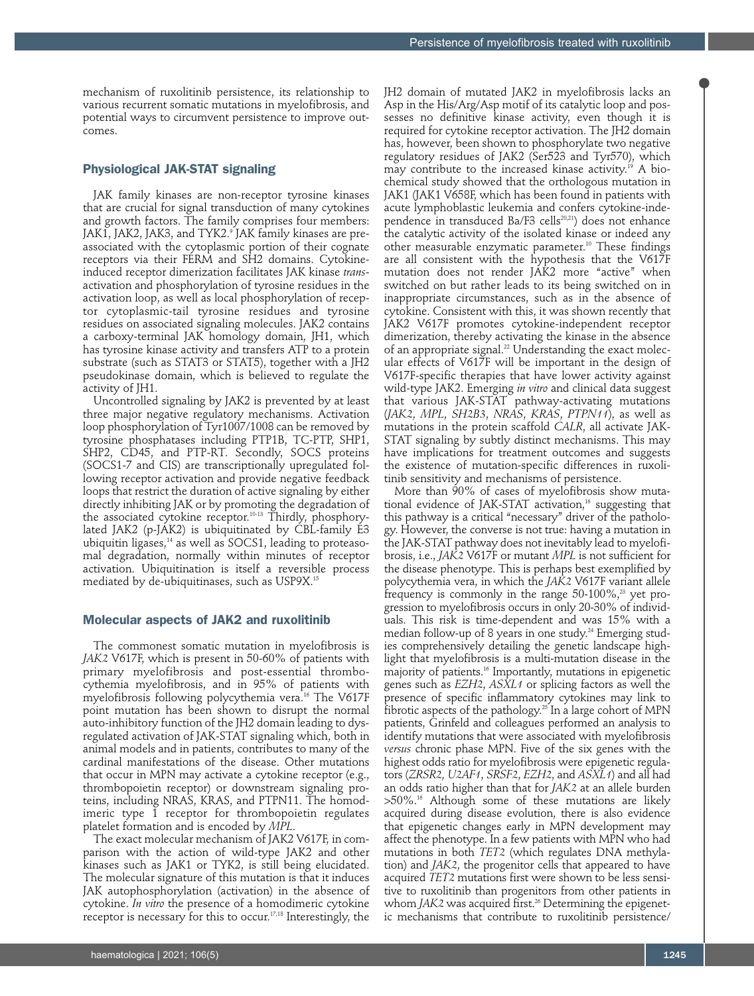mechanism of ruxolitinib persistence, its relationship to various recurrent somatic mutations in myelofibrosis, and potential ways to circumvent persistence to improve outcomes.

## **Physiological JAK-STAT signaling**

JAK family kinases are non-receptor tyrosine kinases that are crucial for signal transduction of many cytokines and growth factors. The family comprises four members: JAK1, JAK2, JAK3, and TYK2.<sup>9</sup> JAK family kinases are preassociated with the cytoplasmic portion of their cognate receptors via their FERM and SH2 domains. Cytokineinduced receptor dimerization facilitates JAK kinase *trans*activation and phosphorylation of tyrosine residues in the activation loop, as well as local phosphorylation of receptor cytoplasmic-tail tyrosine residues and tyrosine residues on associated signaling molecules. JAK2 contains a carboxy-terminal JAK homology domain, JH1, which has tyrosine kinase activity and transfers ATP to a protein substrate (such as STAT3 or STAT5), together with a JH2 pseudokinase domain, which is believed to regulate the activity of JH1.

Uncontrolled signaling by JAK2 is prevented by at least three major negative regulatory mechanisms. Activation loop phosphorylation of Tyr1007/1008 can be removed by tyrosine phosphatases including PTP1B, TC-PTP, SHP1, SHP2, CD45, and PTP-RT. Secondly, SOCS proteins (SOCS1-7 and CIS) are transcriptionally upregulated following receptor activation and provide negative feedback loops that restrict the duration of active signaling by either directly inhibiting JAK or by promoting the degradation of the associated cytokine receptor.<sup>10-13</sup> Thirdly, phosphorylated JAK2 (p-JAK2) is ubiquitinated by CBL-family E3 ubiquitin ligases, $14$  as well as SOCS1, leading to proteasomal degradation, normally within minutes of receptor activation. Ubiquitination is itself a reversible process mediated by de-ubiquitinases, such as USP9X.15

#### **Molecular aspects of JAK2 and ruxolitinib**

The commonest somatic mutation in myelofibrosis is *JAK2* V617F, which is present in 50-60% of patients with primary myelofibrosis and post-essential thrombocythemia myelofibrosis, and in 95% of patients with myelofibrosis following polycythemia vera.<sup>16</sup> The V617F point mutation has been shown to disrupt the normal auto-inhibitory function of the JH2 domain leading to dysregulated activation of JAK-STAT signaling which, both in animal models and in patients, contributes to many of the cardinal manifestations of the disease. Other mutations that occur in MPN may activate a cytokine receptor (e.g., thrombopoietin receptor) or downstream signaling proteins, including NRAS, KRAS, and PTPN11. The homodimeric type 1 receptor for thrombopoietin regulates platelet formation and is encoded by *MPL*.

The exact molecular mechanism of JAK2 V617F, in comparison with the action of wild-type JAK2 and other kinases such as JAK1 or TYK2, is still being elucidated. The molecular signature of this mutation is that it induces JAK autophosphorylation (activation) in the absence of cytokine. *In vitro* the presence of a homodimeric cytokine receptor is necessary for this to occur.17,18 Interestingly, the

JH2 domain of mutated JAK2 in myelofibrosis lacks an Asp in the His/Arg/Asp motif of its catalytic loop and possesses no definitive kinase activity, even though it is required for cytokine receptor activation. The JH2 domain has, however, been shown to phosphorylate two negative regulatory residues of JAK2 (Ser523 and Tyr570), which may contribute to the increased kinase activity.<sup>19</sup> A biochemical study showed that the orthologous mutation in JAK1 (JAK1 V658F, which has been found in patients with acute lymphoblastic leukemia and confers cytokine-independence in transduced Ba/F3 cells<sup>20,21</sup>) does not enhance the catalytic activity of the isolated kinase or indeed any other measurable enzymatic parameter.<sup>10</sup> These findings are all consistent with the hypothesis that the V617F mutation does not render JAK2 more "active" when switched on but rather leads to its being switched on in inappropriate circumstances, such as in the absence of cytokine. Consistent with this, it was shown recently that JAK2 V617F promotes cytokine-independent receptor dimerization, thereby activating the kinase in the absence of an appropriate signal.<sup>22</sup> Understanding the exact molecular effects of V617F will be important in the design of V617F-specific therapies that have lower activity against wild-type JAK2. Emerging *in vitro* and clinical data suggest that various JAK-STAT pathway-activating mutations (*JAK2*, *MPL*, *SH2B3*, *NRAS*, *KRAS*, *PTPN11*), as well as mutations in the protein scaffold *CALR*, all activate JAK-STAT signaling by subtly distinct mechanisms. This may have implications for treatment outcomes and suggests the existence of mutation-specific differences in ruxolitinib sensitivity and mechanisms of persistence.

More than 90% of cases of myelofibrosis show mutational evidence of JAK-STAT activation,<sup>16</sup> suggesting that this pathway is a critical "necessary" driver of the pathology. However, the converse is not true: having a mutation in the JAK-STAT pathway does not inevitably lead to myelofibrosis, i.e., *JAK2* V617F or mutant *MPL* is not sufficient for the disease phenotype. This is perhaps best exemplified by polycythemia vera, in which the *JAK2* V617F variant allele frequency is commonly in the range  $50-100\%$ ,<sup>23</sup> yet progression to myelofibrosis occurs in only 20-30% of individuals. This risk is time-dependent and was 15% with a median follow-up of 8 years in one study.<sup>24</sup> Emerging studies comprehensively detailing the genetic landscape highlight that myelofibrosis is a multi-mutation disease in the majority of patients.16 Importantly, mutations in epigenetic genes such as *EZH2*, *ASXL1* or splicing factors as well the presence of specific inflammatory cytokines may link to fibrotic aspects of the pathology.<sup>25</sup> In a large cohort of MPN patients, Grinfeld and colleagues performed an analysis to identify mutations that were associated with myelofibrosis *versus* chronic phase MPN. Five of the six genes with the highest odds ratio for myelofibrosis were epigenetic regulators (*ZRSR2*, *U2AF1*, *SRSF2*, *EZH2*, and *ASXL1*) and all had an odds ratio higher than that for *JAK2* at an allele burden >50%.16 Although some of these mutations are likely acquired during disease evolution, there is also evidence that epigenetic changes early in MPN development may affect the phenotype. In a few patients with MPN who had mutations in both *TET2* (which regulates DNA methylation) and *JAK2*, the progenitor cells that appeared to have acquired *TET2* mutations first were shown to be less sensitive to ruxolitinib than progenitors from other patients in whom *JAK2* was acquired first.<sup>26</sup> Determining the epigenetic mechanisms that contribute to ruxolitinib persistence/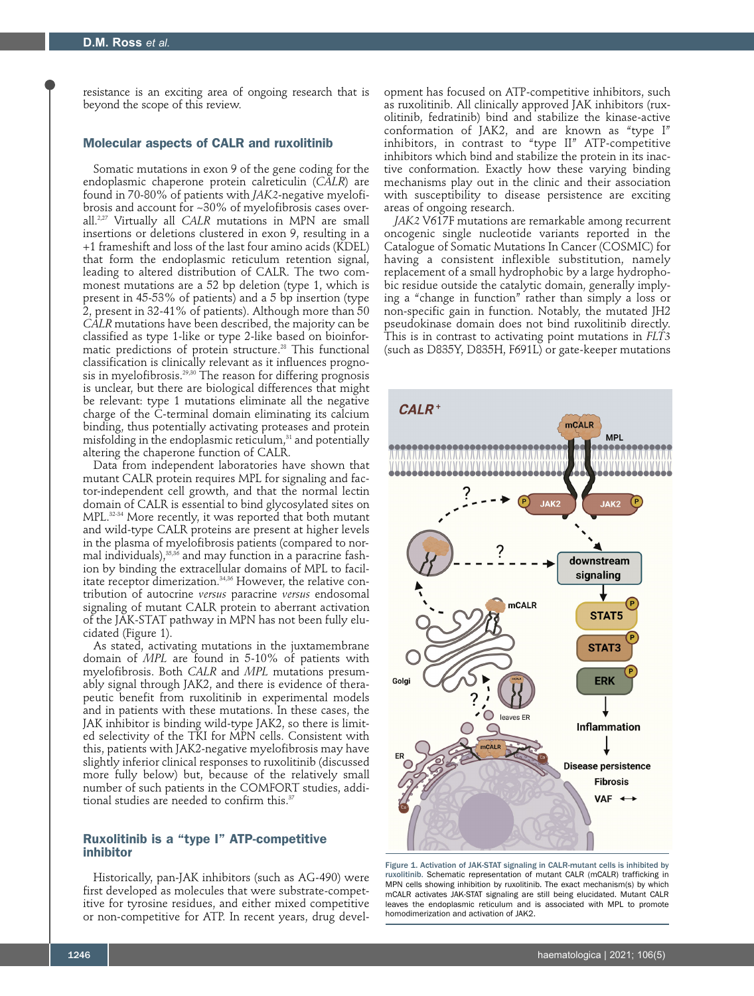resistance is an exciting area of ongoing research that is beyond the scope of this review.

#### **Molecular aspects of CALR and ruxolitinib**

Somatic mutations in exon 9 of the gene coding for the endoplasmic chaperone protein calreticulin (*CALR*) are found in 70-80% of patients with *JAK2*-negative myelofibrosis and account for ~30% of myelofibrosis cases overall.2,27 Virtually all *CALR* mutations in MPN are small insertions or deletions clustered in exon 9, resulting in a +1 frameshift and loss of the last four amino acids (KDEL) that form the endoplasmic reticulum retention signal, leading to altered distribution of CALR. The two commonest mutations are a 52 bp deletion (type 1, which is present in 45-53% of patients) and a 5 bp insertion (type 2, present in 32-41% of patients). Although more than 50 *CALR* mutations have been described, the majority can be classified as type 1-like or type 2-like based on bioinformatic predictions of protein structure.<sup>28</sup> This functional classification is clinically relevant as it influences prognosis in myelofibrosis.<sup>29,30</sup> The reason for differing prognosis is unclear, but there are biological differences that might be relevant: type 1 mutations eliminate all the negative charge of the C-terminal domain eliminating its calcium binding, thus potentially activating proteases and protein misfolding in the endoplasmic reticulum, $31$  and potentially altering the chaperone function of CALR.

Data from independent laboratories have shown that mutant CALR protein requires MPL for signaling and factor-independent cell growth, and that the normal lectin domain of CALR is essential to bind glycosylated sites on MPL.32-34 More recently, it was reported that both mutant and wild-type CALR proteins are present at higher levels in the plasma of myelofibrosis patients (compared to normal individuals),<sup>35,36</sup> and may function in a paracrine fashion by binding the extracellular domains of MPL to facilitate receptor dimerization.34,36 However, the relative contribution of autocrine *versus* paracrine *versus* endosomal signaling of mutant CALR protein to aberrant activation of the JAK-STAT pathway in MPN has not been fully elucidated (Figure 1).

As stated, activating mutations in the juxtamembrane domain of *MPL* are found in 5-10% of patients with myelofibrosis. Both *CALR* and *MPL* mutations presumably signal through JAK2, and there is evidence of therapeutic benefit from ruxolitinib in experimental models and in patients with these mutations. In these cases, the JAK inhibitor is binding wild-type JAK2, so there is limited selectivity of the TKI for MPN cells. Consistent with this, patients with JAK2-negative myelofibrosis may have slightly inferior clinical responses to ruxolitinib (discussed more fully below) but, because of the relatively small number of such patients in the COMFORT studies, additional studies are needed to confirm this.<sup>37</sup>

## **Ruxolitinib is a "type I" ATP-competitive inhibitor**

Historically, pan-JAK inhibitors (such as AG-490) were first developed as molecules that were substrate-competitive for tyrosine residues, and either mixed competitive or non-competitive for ATP. In recent years, drug development has focused on ATP-competitive inhibitors, such as ruxolitinib. All clinically approved JAK inhibitors (ruxolitinib, fedratinib) bind and stabilize the kinase-active conformation of JAK2, and are known as "type I" inhibitors, in contrast to "type II" ATP-competitive inhibitors which bind and stabilize the protein in its inactive conformation. Exactly how these varying binding mechanisms play out in the clinic and their association with susceptibility to disease persistence are exciting areas of ongoing research.

*JAK2* V617F mutations are remarkable among recurrent oncogenic single nucleotide variants reported in the Catalogue of Somatic Mutations In Cancer (COSMIC) for having a consistent inflexible substitution, namely replacement of a small hydrophobic by a large hydrophobic residue outside the catalytic domain, generally implying a "change in function" rather than simply a loss or non-specific gain in function. Notably, the mutated JH2 pseudokinase domain does not bind ruxolitinib directly. This is in contrast to activating point mutations in *FLT3* (such as D835Y, D835H, F691L) or gate-keeper mutations



Figure 1. Activation of JAK-STAT signaling in CALR-mutant cells is inhibited by ruxolitinib. Schematic representation of mutant CALR (mCALR) trafficking in MPN cells showing inhibition by ruxolitinib. The exact mechanism(s) by which mCALR activates JAK-STAT signaling are still being elucidated. Mutant CALR leaves the endoplasmic reticulum and is associated with MPL to promote homodimerization and activation of JAK2.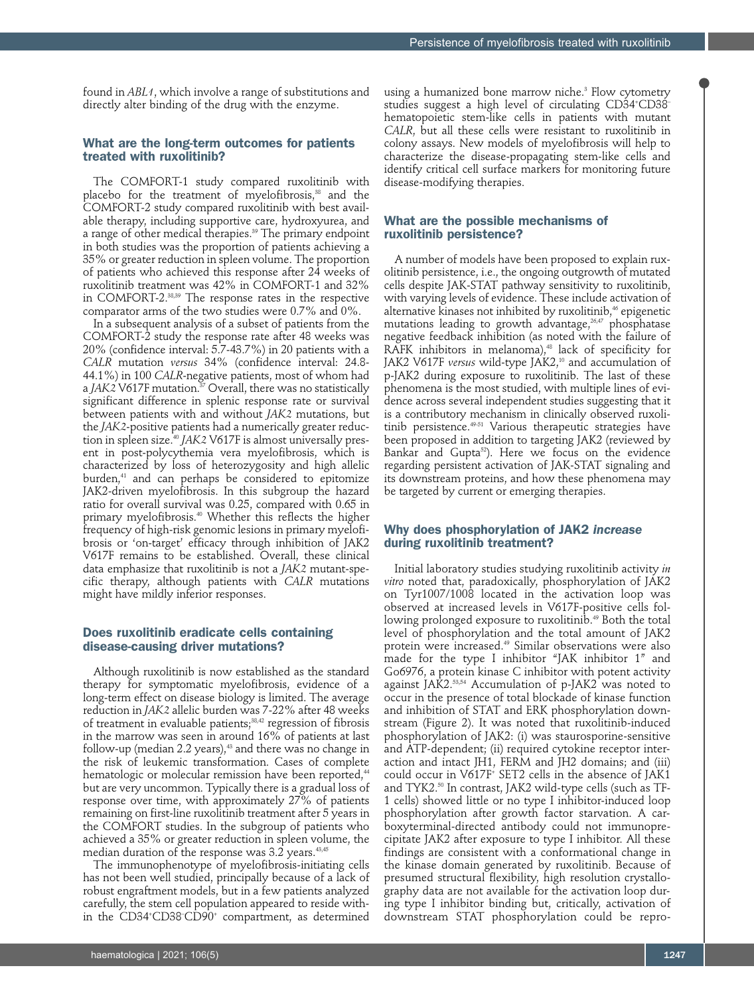found in *ABL1*, which involve a range of substitutions and directly alter binding of the drug with the enzyme.

## **What are the long-term outcomes for patients treated with ruxolitinib?**

The COMFORT-1 study compared ruxolitinib with placebo for the treatment of myelofibrosis, $38$  and the COMFORT-2 study compared ruxolitinib with best available therapy, including supportive care, hydroxyurea, and a range of other medical therapies.<sup>39</sup> The primary endpoint in both studies was the proportion of patients achieving a 35% or greater reduction in spleen volume. The proportion of patients who achieved this response after 24 weeks of ruxolitinib treatment was 42% in COMFORT-1 and 32% in COMFORT-2.38,39 The response rates in the respective comparator arms of the two studies were 0.7% and 0%.

In a subsequent analysis of a subset of patients from the COMFORT-2 study the response rate after 48 weeks was 20% (confidence interval: 5.7-43.7%) in 20 patients with a *CALR* mutation *versus* 34% (confidence interval: 24.8- 44.1%) in 100 *CALR*-negative patients, most of whom had a *JAK2* V617F mutation.<sup>37</sup> Overall, there was no statistically significant difference in splenic response rate or survival between patients with and without *JAK2* mutations, but the *JAK2*-positive patients had a numerically greater reduction in spleen size.40 *JAK2* V617F is almost universally present in post-polycythemia vera myelofibrosis, which is characterized by loss of heterozygosity and high allelic burden,<sup>41</sup> and can perhaps be considered to epitomize JAK2-driven myelofibrosis. In this subgroup the hazard ratio for overall survival was 0.25, compared with 0.65 in primary myelofibrosis.40 Whether this reflects the higher frequency of high-risk genomic lesions in primary myelofibrosis or 'on-target' efficacy through inhibition of JAK2 V617F remains to be established. Overall, these clinical data emphasize that ruxolitinib is not a *JAK2* mutant-specific therapy, although patients with *CALR* mutations might have mildly inferior responses.

## **Does ruxolitinib eradicate cells containing disease-causing driver mutations?**

Although ruxolitinib is now established as the standard therapy for symptomatic myelofibrosis, evidence of a long-term effect on disease biology is limited. The average reduction in *JAK2* allelic burden was 7-22% after 48 weeks of treatment in evaluable patients;38,42 regression of fibrosis in the marrow was seen in around 16% of patients at last follow-up (median 2.2 years), $43$  and there was no change in the risk of leukemic transformation. Cases of complete hematologic or molecular remission have been reported,<sup>44</sup> but are very uncommon. Typically there is a gradual loss of response over time, with approximately 27% of patients remaining on first-line ruxolitinib treatment after 5 years in the COMFORT studies. In the subgroup of patients who achieved a 35% or greater reduction in spleen volume, the median duration of the response was  $3.2$  years.<sup>43,45</sup>

The immunophenotype of myelofibrosis-initiating cells has not been well studied, principally because of a lack of robust engraftment models, but in a few patients analyzed carefully, the stem cell population appeared to reside within the CD34+ CD38– CD90+ compartment, as determined

using a humanized bone marrow niche.<sup>3</sup> Flow cytometry studies suggest a high level of circulating CD34+ CD38– hematopoietic stem-like cells in patients with mutant *CALR*, but all these cells were resistant to ruxolitinib in colony assays. New models of myelofibrosis will help to characterize the disease-propagating stem-like cells and identify critical cell surface markers for monitoring future disease-modifying therapies.

## **What are the possible mechanisms of ruxolitinib persistence?**

A number of models have been proposed to explain ruxolitinib persistence, i.e., the ongoing outgrowth of mutated cells despite JAK-STAT pathway sensitivity to ruxolitinib, with varying levels of evidence. These include activation of alternative kinases not inhibited by ruxolitinib,<sup>46</sup> epigenetic mutations leading to growth advantage,<sup>26,47</sup> phosphatase negative feedback inhibition (as noted with the failure of RAFK inhibitors in melanoma),<sup>48</sup> lack of specificity for JAK2 V617F versus wild-type JAK2,<sup>10</sup> and accumulation of p-JAK2 during exposure to ruxolitinib. The last of these phenomena is the most studied, with multiple lines of evidence across several independent studies suggesting that it is a contributory mechanism in clinically observed ruxolitinib persistence.49-51 Various therapeutic strategies have been proposed in addition to targeting JAK2 (reviewed by Bankar and Gupta<sup>52</sup>). Here we focus on the evidence regarding persistent activation of JAK-STAT signaling and its downstream proteins, and how these phenomena may be targeted by current or emerging therapies.

## **Why does phosphorylation of JAK2** *increase* **during ruxolitinib treatment?**

Initial laboratory studies studying ruxolitinib activity *in vitro* noted that, paradoxically, phosphorylation of JAK2 on Tyr1007/1008 located in the activation loop was observed at increased levels in V617F-positive cells following prolonged exposure to ruxolitinib.<sup>49</sup> Both the total level of phosphorylation and the total amount of JAK2 protein were increased.49 Similar observations were also made for the type I inhibitor "JAK inhibitor 1" and Go6976, a protein kinase C inhibitor with potent activity against JAK2.53,54 Accumulation of p-JAK2 was noted to occur in the presence of total blockade of kinase function and inhibition of STAT and ERK phosphorylation downstream (Figure 2). It was noted that ruxolitinib-induced phosphorylation of JAK2: (i) was staurosporine-sensitive and ATP-dependent; (ii) required cytokine receptor interaction and intact JH1, FERM and JH2 domains; and (iii) could occur in V617F+ SET2 cells in the absence of JAK1 and TYK2.<sup>50</sup> In contrast, JAK2 wild-type cells (such as TF-1 cells) showed little or no type I inhibitor-induced loop phosphorylation after growth factor starvation. A carboxyterminal-directed antibody could not immunoprecipitate JAK2 after exposure to type I inhibitor. All these findings are consistent with a conformational change in the kinase domain generated by ruxolitinib. Because of presumed structural flexibility, high resolution crystallography data are not available for the activation loop during type I inhibitor binding but, critically, activation of downstream STAT phosphorylation could be repro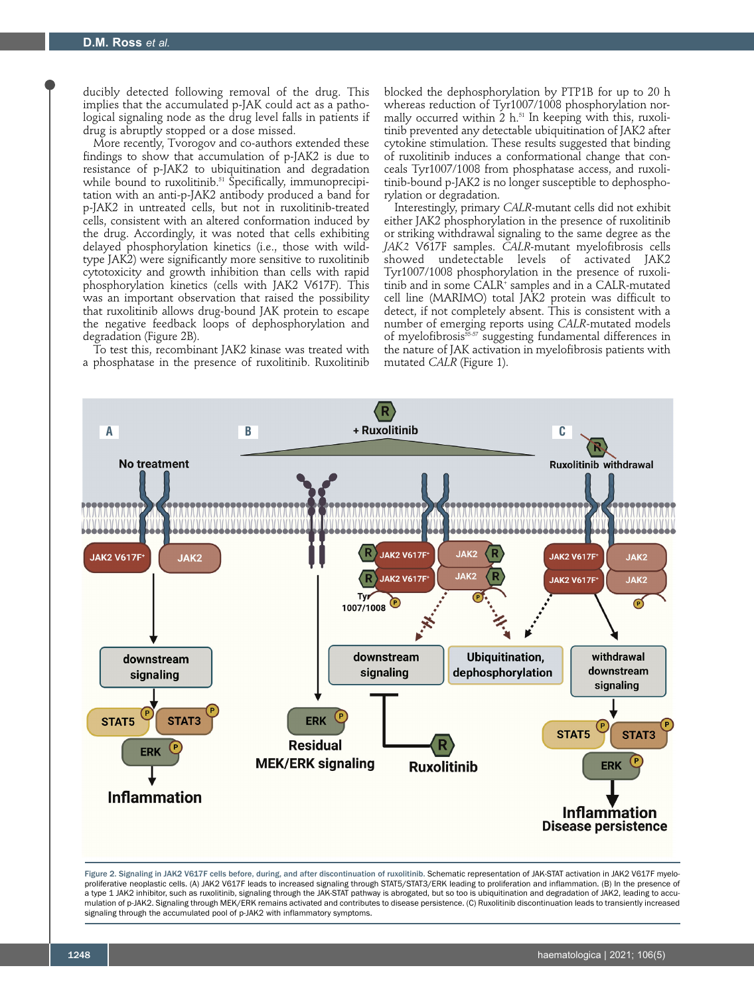ducibly detected following removal of the drug. This implies that the accumulated p-JAK could act as a pathological signaling node as the drug level falls in patients if drug is abruptly stopped or a dose missed.

More recently, Tvorogov and co-authors extended these findings to show that accumulation of p-JAK2 is due to resistance of p-JAK2 to ubiquitination and degradation while bound to ruxolitinib.<sup>51</sup> Specifically, immunoprecipitation with an anti-p-JAK2 antibody produced a band for p-JAK2 in untreated cells, but not in ruxolitinib-treated cells, consistent with an altered conformation induced by the drug. Accordingly, it was noted that cells exhibiting delayed phosphorylation kinetics (i.e., those with wildtype JAK2) were significantly more sensitive to ruxolitinib cytotoxicity and growth inhibition than cells with rapid phosphorylation kinetics (cells with JAK2 V617F). This was an important observation that raised the possibility that ruxolitinib allows drug-bound JAK protein to escape the negative feedback loops of dephosphorylation and degradation (Figure 2B).

To test this, recombinant JAK2 kinase was treated with a phosphatase in the presence of ruxolitinib. Ruxolitinib

blocked the dephosphorylation by PTP1B for up to 20 h whereas reduction of Tyr1007/1008 phosphorylation normally occurred within  $2$  h.<sup>51</sup> In keeping with this, ruxolitinib prevented any detectable ubiquitination of JAK2 after cytokine stimulation. These results suggested that binding of ruxolitinib induces a conformational change that conceals Tyr1007/1008 from phosphatase access, and ruxolitinib-bound p-JAK2 is no longer susceptible to dephosphorylation or degradation.

Interestingly, primary *CALR*-mutant cells did not exhibit either JAK2 phosphorylation in the presence of ruxolitinib or striking withdrawal signaling to the same degree as the *JAK2* V617F samples. *CALR*-mutant myelofibrosis cells showed undetectable levels of activated JAK2 Tyr1007/1008 phosphorylation in the presence of ruxolitinib and in some CALR+ samples and in a CALR-mutated cell line (MARIMO) total JAK2 protein was difficult to detect, if not completely absent. This is consistent with a number of emerging reports using *CALR-*mutated models of myelofibrosis<sup>55.57</sup> suggesting fundamental differences in the nature of JAK activation in myelofibrosis patients with mutated *CALR* (Figure 1).



Figure 2. Signaling in JAK2 V617F cells before, during, and after discontinuation of ruxolitinib. Schematic representation of JAK-STAT activation in JAK2 V617F myeloproliferative neoplastic cells. (A) JAK2 V617F leads to increased signaling through STAT5/STAT3/ERK leading to proliferation and inflammation. (B) In the presence of a type 1 JAK2 inhibitor, such as ruxolitinib, signaling through the JAK-STAT pathway is abrogated, but so too is ubiquitination and degradation of JAK2, leading to accumulation of p-JAK2. Signaling through MEK/ERK remains activated and contributes to disease persistence. (C) Ruxolitinib discontinuation leads to transiently increased signaling through the accumulated pool of p-JAK2 with inflammatory symptoms.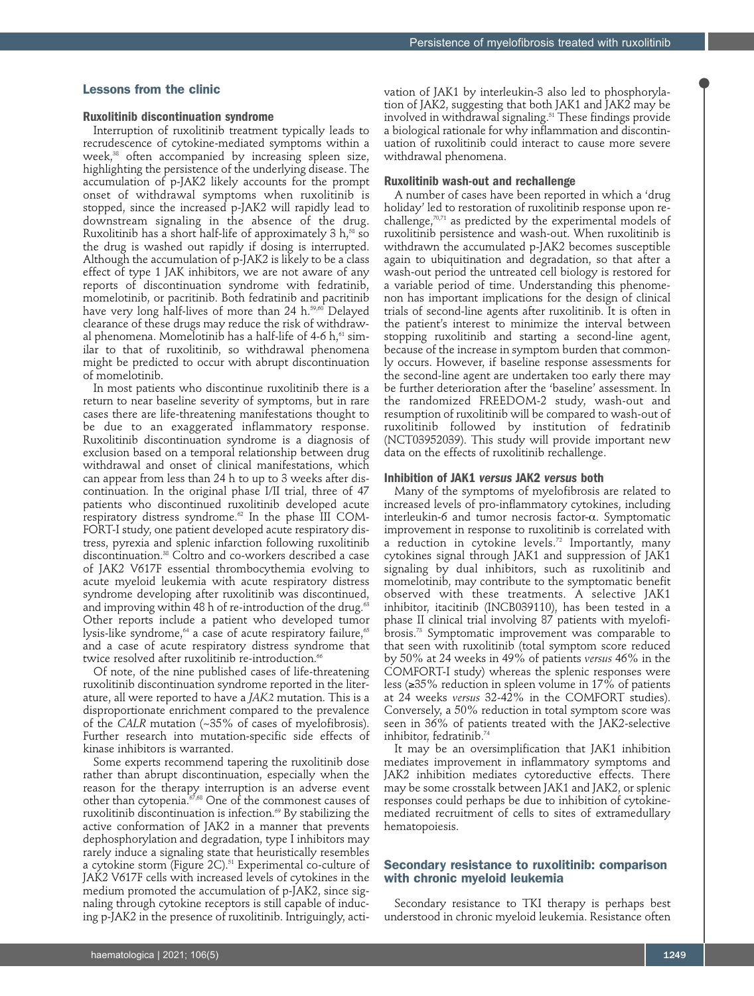## **Lessons from the clinic**

#### **Ruxolitinib discontinuation syndrome**

Interruption of ruxolitinib treatment typically leads to recrudescence of cytokine-mediated symptoms within a week,<sup>38</sup> often accompanied by increasing spleen size, highlighting the persistence of the underlying disease. The accumulation of p-JAK2 likely accounts for the prompt onset of withdrawal symptoms when ruxolitinib is stopped, since the increased p-JAK2 will rapidly lead to downstream signaling in the absence of the drug. Ruxolitinib has a short half-life of approximately 3  $h,$ <sup>58</sup> so the drug is washed out rapidly if dosing is interrupted. Although the accumulation of p-JAK2 is likely to be a class effect of type 1 JAK inhibitors, we are not aware of any reports of discontinuation syndrome with fedratinib, momelotinib, or pacritinib. Both fedratinib and pacritinib have very long half-lives of more than 24 h.<sup>59,60</sup> Delayed clearance of these drugs may reduce the risk of withdrawal phenomena. Momelotinib has a half-life of  $4-6$  h, $^{61}$  similar to that of ruxolitinib, so withdrawal phenomena might be predicted to occur with abrupt discontinuation of momelotinib.

In most patients who discontinue ruxolitinib there is a return to near baseline severity of symptoms, but in rare cases there are life-threatening manifestations thought to be due to an exaggerated inflammatory response. Ruxolitinib discontinuation syndrome is a diagnosis of exclusion based on a temporal relationship between drug withdrawal and onset of clinical manifestations, which can appear from less than 24 h to up to 3 weeks after discontinuation. In the original phase I/II trial, three of 47 patients who discontinued ruxolitinib developed acute respiratory distress syndrome.62 In the phase III COM-FORT-I study, one patient developed acute respiratory distress, pyrexia and splenic infarction following ruxolitinib discontinuation.38 Coltro and co-workers described a case of JAK2 V617F essential thrombocythemia evolving to acute myeloid leukemia with acute respiratory distress syndrome developing after ruxolitinib was discontinued, and improving within 48 h of re-introduction of the drug.<sup>63</sup> Other reports include a patient who developed tumor lysis-like syndrome,<sup>64</sup> a case of acute respiratory failure,<sup>65</sup> and a case of acute respiratory distress syndrome that twice resolved after ruxolitinib re-introduction.<sup>66</sup>

Of note, of the nine published cases of life-threatening ruxolitinib discontinuation syndrome reported in the literature, all were reported to have a *JAK2* mutation. This is a disproportionate enrichment compared to the prevalence of the *CALR* mutation (~35% of cases of myelofibrosis). Further research into mutation-specific side effects of kinase inhibitors is warranted.

Some experts recommend tapering the ruxolitinib dose rather than abrupt discontinuation, especially when the reason for the therapy interruption is an adverse event other than cytopenia.<sup>67,68</sup> One of the commonest causes of ruxolitinib discontinuation is infection.<sup>69</sup> By stabilizing the active conformation of JAK2 in a manner that prevents dephosphorylation and degradation, type I inhibitors may rarely induce a signaling state that heuristically resembles a cytokine storm (Figure  $2C$ ).<sup>51</sup> Experimental co-culture of JAK2 V617F cells with increased levels of cytokines in the medium promoted the accumulation of p-JAK2, since signaling through cytokine receptors is still capable of inducing p-JAK2 in the presence of ruxolitinib. Intriguingly, acti-

vation of JAK1 by interleukin-3 also led to phosphorylation of JAK2, suggesting that both JAK1 and JAK2 may be involved in withdrawal signaling.51 These findings provide a biological rationale for why inflammation and discontinuation of ruxolitinib could interact to cause more severe withdrawal phenomena.

#### **Ruxolitinib wash-out and rechallenge**

A number of cases have been reported in which a 'drug holiday' led to restoration of ruxolitinib response upon rechallenge, $70,71$  as predicted by the experimental models of ruxolitinib persistence and wash-out. When ruxolitinib is withdrawn the accumulated p-JAK2 becomes susceptible again to ubiquitination and degradation, so that after a wash-out period the untreated cell biology is restored for a variable period of time. Understanding this phenomenon has important implications for the design of clinical trials of second-line agents after ruxolitinib. It is often in the patient's interest to minimize the interval between stopping ruxolitinib and starting a second-line agent, because of the increase in symptom burden that commonly occurs. However, if baseline response assessments for the second-line agent are undertaken too early there may be further deterioration after the 'baseline' assessment. In the randomized FREEDOM-2 study, wash-out and resumption of ruxolitinib will be compared to wash-out of ruxolitinib followed by institution of fedratinib (NCT03952039). This study will provide important new data on the effects of ruxolitinib rechallenge.

#### **Inhibition of JAK1** *versus* **JAK2** *versus* **both**

Many of the symptoms of myelofibrosis are related to increased levels of pro-inflammatory cytokines, including interleukin-6 and tumor necrosis factor-α. Symptomatic improvement in response to ruxolitinib is correlated with a reduction in cytokine levels.72 Importantly, many cytokines signal through JAK1 and suppression of JAK1 signaling by dual inhibitors, such as ruxolitinib and momelotinib, may contribute to the symptomatic benefit observed with these treatments. A selective JAK1 inhibitor, itacitinib (INCB039110), has been tested in a phase II clinical trial involving 87 patients with myelofibrosis.73 Symptomatic improvement was comparable to that seen with ruxolitinib (total symptom score reduced by 50% at 24 weeks in 49% of patients *versus* 46% in the COMFORT-I study) whereas the splenic responses were less (≥35% reduction in spleen volume in 17% of patients at 24 weeks *versus* 32-42% in the COMFORT studies). Conversely, a 50% reduction in total symptom score was seen in 36% of patients treated with the JAK2-selective inhibitor, fedratinib.74

It may be an oversimplification that JAK1 inhibition mediates improvement in inflammatory symptoms and JAK2 inhibition mediates cytoreductive effects. There may be some crosstalk between JAK1 and JAK2, or splenic responses could perhaps be due to inhibition of cytokinemediated recruitment of cells to sites of extramedullary hematopoiesis.

#### **Secondary resistance to ruxolitinib: comparison with chronic myeloid leukemia**

Secondary resistance to TKI therapy is perhaps best understood in chronic myeloid leukemia. Resistance often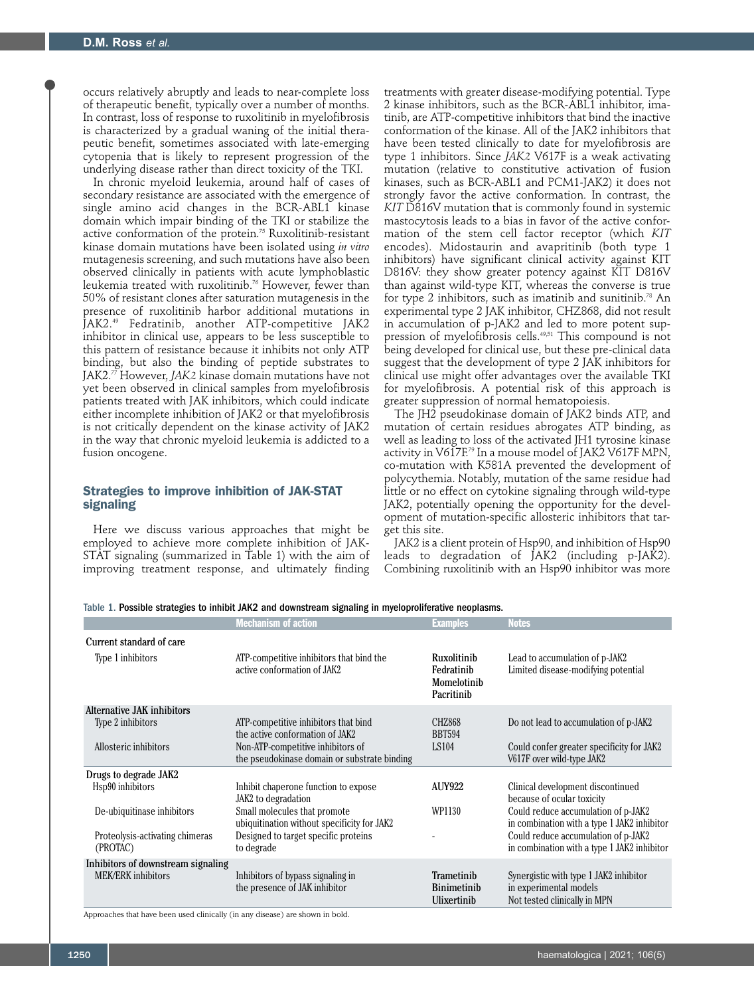occurs relatively abruptly and leads to near-complete loss of therapeutic benefit, typically over a number of months. In contrast, loss of response to ruxolitinib in myelofibrosis is characterized by a gradual waning of the initial therapeutic benefit, sometimes associated with late-emerging cytopenia that is likely to represent progression of the underlying disease rather than direct toxicity of the TKI.

In chronic myeloid leukemia, around half of cases of secondary resistance are associated with the emergence of single amino acid changes in the BCR-ABL1 kinase domain which impair binding of the TKI or stabilize the active conformation of the protein.75 Ruxolitinib-resistant kinase domain mutations have been isolated using *in vitro* mutagenesis screening, and such mutations have also been observed clinically in patients with acute lymphoblastic leukemia treated with ruxolitinib.<sup>76</sup> However, fewer than 50% of resistant clones after saturation mutagenesis in the presence of ruxolitinib harbor additional mutations in JAK2.49 Fedratinib, another ATP-competitive JAK2 inhibitor in clinical use, appears to be less susceptible to this pattern of resistance because it inhibits not only ATP binding, but also the binding of peptide substrates to JAK2.77 However, *JAK2* kinase domain mutations have not yet been observed in clinical samples from myelofibrosis patients treated with JAK inhibitors, which could indicate either incomplete inhibition of JAK2 or that myelofibrosis is not critically dependent on the kinase activity of JAK2 in the way that chronic myeloid leukemia is addicted to a fusion oncogene.

## **Strategies to improve inhibition of JAK-STAT signaling**

Here we discuss various approaches that might be employed to achieve more complete inhibition of JAK-STAT signaling (summarized in Table 1) with the aim of improving treatment response, and ultimately finding treatments with greater disease-modifying potential. Type 2 kinase inhibitors, such as the BCR-ABL1 inhibitor, imatinib, are ATP-competitive inhibitors that bind the inactive conformation of the kinase. All of the JAK2 inhibitors that have been tested clinically to date for myelofibrosis are type 1 inhibitors. Since *JAK2* V617F is a weak activating mutation (relative to constitutive activation of fusion kinases, such as BCR-ABL1 and PCM1-JAK2) it does not strongly favor the active conformation. In contrast, the *KIT* D816V mutation that is commonly found in systemic mastocytosis leads to a bias in favor of the active conformation of the stem cell factor receptor (which *KIT* encodes). Midostaurin and avapritinib (both type 1 inhibitors) have significant clinical activity against KIT D816V: they show greater potency against KIT D816V than against wild-type KIT, whereas the converse is true for type 2 inhibitors, such as imatinib and sunitinib.<sup>78</sup> An experimental type 2 JAK inhibitor, CHZ868, did not result in accumulation of p-JAK2 and led to more potent suppression of myelofibrosis cells.49,51 This compound is not being developed for clinical use, but these pre-clinical data suggest that the development of type 2 JAK inhibitors for clinical use might offer advantages over the available TKI for myelofibrosis. A potential risk of this approach is greater suppression of normal hematopoiesis.

The JH2 pseudokinase domain of JAK2 binds ATP, and mutation of certain residues abrogates ATP binding, as well as leading to loss of the activated JH1 tyrosine kinase activity in V617F.79 In a mouse model of JAK2 V617F MPN, co-mutation with K581A prevented the development of polycythemia. Notably, mutation of the same residue had little or no effect on cytokine signaling through wild-type JAK2, potentially opening the opportunity for the development of mutation-specific allosteric inhibitors that target this site.

JAK2 is a client protein of Hsp90, and inhibition of Hsp90 leads to degradation of JAK2 (including p-JAK2). Combining ruxolitinib with an Hsp90 inhibitor was more

Table 1. Possible strategies to inhibit JAK2 and downstream signaling in myeloproliferative neoplasms.

|                                                                 | <b>Mechanism of action</b>                                                  | <b>Examples</b>                                        | <b>Notes</b>                                                                       |
|-----------------------------------------------------------------|-----------------------------------------------------------------------------|--------------------------------------------------------|------------------------------------------------------------------------------------|
| Current standard of care                                        |                                                                             |                                                        |                                                                                    |
| Type 1 inhibitors                                               | ATP-competitive inhibitors that bind the<br>active conformation of JAK2     | Ruxolitinib<br>Fedratinib<br>Momelotinib<br>Pacritinib | Lead to accumulation of p-JAK2<br>Limited disease-modifying potential              |
| Alternative JAK inhibitors                                      |                                                                             |                                                        |                                                                                    |
| Type 2 inhibitors                                               | ATP-competitive inhibitors that bind                                        | <b>CHZ868</b>                                          | Do not lead to accumulation of p-JAK2                                              |
|                                                                 | the active conformation of JAK2                                             | <b>BBT594</b>                                          |                                                                                    |
| Allosteric inhibitors                                           | Non-ATP-competitive inhibitors of                                           | LS104                                                  | Could confer greater specificity for JAK2                                          |
|                                                                 | the pseudokinase domain or substrate binding                                |                                                        | V617F over wild-type JAK2                                                          |
| Drugs to degrade JAK2                                           |                                                                             |                                                        |                                                                                    |
| Hsp90 inhibitors                                                | Inhibit chaperone function to expose<br>JAK2 to degradation                 | <b>AUY922</b>                                          | Clinical development discontinued<br>because of ocular toxicity                    |
| De-ubiquitinase inhibitors                                      | Small molecules that promote<br>ubiquitination without specificity for JAK2 | WP1130                                                 | Could reduce accumulation of p-JAK2<br>in combination with a type 1 JAK2 inhibitor |
| Proteolysis-activating chimeras<br>(PROTAC)                     | Designed to target specific proteins<br>to degrade                          |                                                        | Could reduce accumulation of p-JAK2<br>in combination with a type 1 JAK2 inhibitor |
| Inhibitors of downstream signaling<br><b>MEK/ERK</b> inhibitors |                                                                             | <b>Trametinib</b>                                      |                                                                                    |
|                                                                 | Inhibitors of bypass signaling in<br>the presence of JAK inhibitor          | <b>Binimetinib</b>                                     | Synergistic with type 1 JAK2 inhibitor<br>in experimental models                   |
|                                                                 |                                                                             | Ulixertinib                                            | Not tested clinically in MPN                                                       |

Approaches that have been used clinically (in any disease) are shown in bold.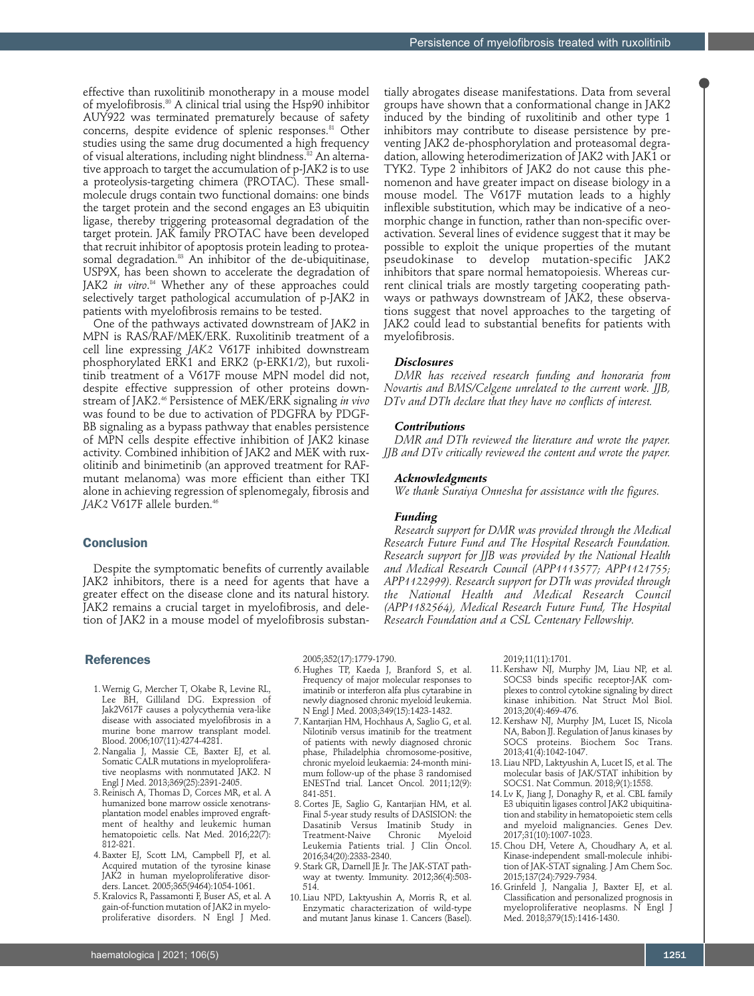effective than ruxolitinib monotherapy in a mouse model of myelofibrosis.80 A clinical trial using the Hsp90 inhibitor AUY922 was terminated prematurely because of safety concerns, despite evidence of splenic responses.<sup>81</sup> Other studies using the same drug documented a high frequency of visual alterations, including night blindness.<sup>82</sup> An alternative approach to target the accumulation of p-JAK2 is to use a proteolysis-targeting chimera (PROTAC). These smallmolecule drugs contain two functional domains: one binds the target protein and the second engages an E3 ubiquitin ligase, thereby triggering proteasomal degradation of the target protein. JAK family PROTAC have been developed that recruit inhibitor of apoptosis protein leading to proteasomal degradation.<sup>83</sup> An inhibitor of the de-ubiquitinase, USP9X, has been shown to accelerate the degradation of JAK2 *in vitro*. <sup>84</sup> Whether any of these approaches could selectively target pathological accumulation of p-JAK2 in patients with myelofibrosis remains to be tested.

One of the pathways activated downstream of JAK2 in MPN is RAS/RAF/MEK/ERK. Ruxolitinib treatment of a cell line expressing *JAK2* V617F inhibited downstream phosphorylated ERK1 and ERK2 (p-ERK1/2), but ruxolitinib treatment of a V617F mouse MPN model did not, despite effective suppression of other proteins downstream of JAK2.46 Persistence of MEK/ERK signaling *in vivo* was found to be due to activation of PDGFRA by PDGF-BB signaling as a bypass pathway that enables persistence of MPN cells despite effective inhibition of JAK2 kinase activity. Combined inhibition of JAK2 and MEK with ruxolitinib and binimetinib (an approved treatment for RAFmutant melanoma) was more efficient than either TKI alone in achieving regression of splenomegaly, fibrosis and *JAK2* V617F allele burden.<sup>46</sup>

#### **Conclusion**

Despite the symptomatic benefits of currently available JAK2 inhibitors, there is a need for agents that have a greater effect on the disease clone and its natural history. JAK2 remains a crucial target in myelofibrosis, and deletion of JAK2 in a mouse model of myelofibrosis substan-

## **References**

- 1. Wernig G, Mercher T, Okabe R, Levine RL, Lee BH, Gilliland DG. Expression of Jak2V617F causes a polycythemia vera-like disease with associated myelofibrosis in a murine bone marrow transplant model. Blood. 2006;107(11):4274-4281.
- 2. Nangalia J, Massie CE, Baxter EJ, et al. Somatic CALR mutations in myeloproliferative neoplasms with nonmutated JAK2. N Engl J Med. 2013;369(25):2391-2405.
- 3. Reinisch A, Thomas D, Corces MR, et al. A humanized bone marrow ossicle xenotransplantation model enables improved engraftment of healthy and leukemic human hematopoietic cells. Nat Med. 2016;22(7): 812-821.
- 4. Baxter EJ, Scott LM, Campbell PJ, et al. Acquired mutation of the tyrosine kinase JAK2 in human myeloproliferative disorders. Lancet. 2005;365(9464):1054-1061.
- 5. Kralovics R, Passamonti F, Buser AS, et al. A gain-of-function mutation of JAK2 in myeloproliferative disorders. N Engl J Med.

2005;352(17):1779-1790.

- 6. Hughes TP, Kaeda J, Branford S, et al. Frequency of major molecular responses to imatinib or interferon alfa plus cytarabine in newly diagnosed chronic myeloid leukemia. N Engl J Med. 2003;349(15):1423-1432.
- 7. Kantarjian HM, Hochhaus A, Saglio G, et al. Nilotinib versus imatinib for the treatment of patients with newly diagnosed chronic phase, Philadelphia chromosome-positive, chronic myeloid leukaemia: 24-month minimum follow-up of the phase 3 randomised ENESTnd trial. Lancet Oncol. 2011;12(9): 841-851.
- 8. Cortes JE, Saglio G, Kantarjian HM, et al. Final 5-year study results of DASISION: the Dasatinib Versus Imatinib Study in Treatment-Naive Leukemia Patients trial. J Clin Oncol. 2016;34(20):2333-2340.
- 9. Stark GR, Darnell JE Jr. The JAK-STAT pathway at twenty. Immunity. 2012;36(4):503- 514.
- 10. Liau NPD, Laktyushin A, Morris R, et al. Enzymatic characterization of wild-type and mutant Janus kinase 1. Cancers (Basel).

tially abrogates disease manifestations. Data from several groups have shown that a conformational change in JAK2 induced by the binding of ruxolitinib and other type 1 inhibitors may contribute to disease persistence by preventing JAK2 de-phosphorylation and proteasomal degradation, allowing heterodimerization of JAK2 with JAK1 or TYK2. Type 2 inhibitors of JAK2 do not cause this phenomenon and have greater impact on disease biology in a mouse model. The V617F mutation leads to a highly inflexible substitution, which may be indicative of a neomorphic change in function, rather than non-specific overactivation. Several lines of evidence suggest that it may be possible to exploit the unique properties of the mutant pseudokinase to develop mutation-specific JAK2 inhibitors that spare normal hematopoiesis. Whereas current clinical trials are mostly targeting cooperating pathways or pathways downstream of JAK2, these observations suggest that novel approaches to the targeting of JAK2 could lead to substantial benefits for patients with myelofibrosis.

#### *Disclosures*

*DMR has received research funding and honoraria from Novartis and BMS/Celgene unrelated to the current work. JJB, DTv and DTh declare that they have no conflicts of interest.*

#### *Contributions*

*DMR and DTh reviewed the literature and wrote the paper. JJB and DTv critically reviewed the content and wrote the paper.*

#### *Acknowledgments*

*We thank Suraiya Onnesha for assistance with the figures.* 

#### *Funding*

*Research support for DMR was provided through the Medical Research Future Fund and The Hospital Research Foundation. Research support for JJB was provided by the National Health and Medical Research Council (APP1113577; APP1121755; APP1122999). Research support for DTh was provided through the National Health and Medical Research Council (APP1182564), Medical Research Future Fund, The Hospital Research Foundation and a CSL Centenary Fellowship.* 

2019;11(11):1701.

- 11. Kershaw NJ, Murphy JM, Liau NP, et al. SOCS3 binds specific receptor-JAK complexes to control cytokine signaling by direct kinase inhibition. Nat Struct Mol Biol. 2013;20(4):469-476.
- 12. Kershaw NJ, Murphy JM, Lucet IS, Nicola NA, Babon JJ. Regulation of Janus kinases by SOCS proteins. Biochem Soc Trans. 2013;41(4):1042-1047.
- 13. Liau NPD, Laktyushin A, Lucet IS, et al. The molecular basis of JAK/STAT inhibition by SOCS1. Nat Commun. 2018;9(1):1558.
- 14. Lv K, Jiang J, Donaghy R, et al. CBL family E3 ubiquitin ligases control JAK2 ubiquitination and stability in hematopoietic stem cells and myeloid malignancies. Genes Dev. 2017;31(10):1007-1023.
- 15. Chou DH, Vetere A, Choudhary A, et al. Kinase-independent small-molecule inhibition of JAK-STAT signaling. J Am Chem Soc. 2015;137(24):7929-7934.
- 16. Grinfeld J, Nangalia J, Baxter EJ, et al. Classification and personalized prognosis in myeloproliferative neoplasms. N Engl J Med. 2018;379(15):1416-1430.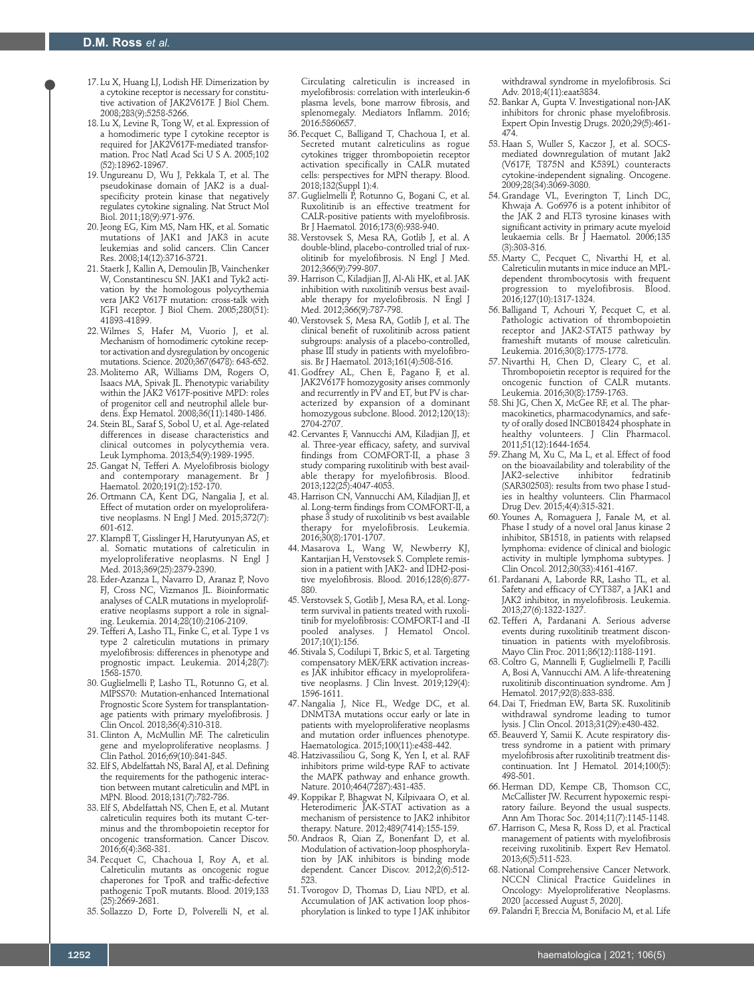- 17. Lu X, Huang LJ, Lodish HF. Dimerization by a cytokine receptor is necessary for constitutive activation of JAK2V617F. J Biol Chem. 2008;283(9):5258-5266.
- 18. Lu X, Levine R, Tong W, et al. Expression of a homodimeric type I cytokine receptor is required for JAK2V617F-mediated transformation. Proc Natl Acad Sci U S A. 2005;102 (52):18962-18967.
- 19. Ungureanu D, Wu J, Pekkala T, et al. The pseudokinase domain of JAK2 is a dualspecificity protein kinase that negatively regulates cytokine signaling. Nat Struct Mol Biol. 2011;18(9):971-976.
- 20. Jeong EG, Kim MS, Nam HK, et al. Somatic mutations of JAK1 and JAK3 in acute leukemias and solid cancers. Clin Cancer Res. 2008;14(12):3716-3721.
- 21. Staerk J, Kallin A, Demoulin JB, Vainchenker W, Constantinescu SN. JAK1 and Tyk2 activation by the homologous polycythemia vera JAK2 V617F mutation: cross-talk with IGF1 receptor. J Biol Chem. 2005;280(51): 41893-41899.
- 22. Wilmes S, Hafer M, Vuorio J, et al. Mechanism of homodimeric cytokine receptor activation and dysregulation by oncogenic mutations. Science. 2020;367(6478): 643-652.
- 23. Moliterno AR, Williams DM, Rogers O, Isaacs MA, Spivak JL. Phenotypic variability within the JAK2 V617F-positive MPD: roles of progenitor cell and neutrophil allele burdens. Exp Hematol. 2008;36(11):1480-1486.
- 24. Stein BL, Saraf S, Sobol U, et al. Age-related differences in disease characteristics and clinical outcomes in polycythemia vera. Leuk Lymphoma. 2013;54(9):1989-1995.
- 25. Gangat N, Tefferi A. Myelofibrosis biology and contemporary management. Br Haematol. 2020;191(2):152-170.
- 26. Ortmann CA, Kent DG, Nangalia J, et al. Effect of mutation order on myeloproliferative neoplasms. N Engl J Med. 2015;372(7): 601-612.
- 27. Klampfl T, Gisslinger H, Harutyunyan AS, et al. Somatic mutations of calreticulin in myeloproliferative neoplasms. N Engl J Med. 2013;369(25):2379-2390.
- 28. Eder-Azanza L, Navarro D, Aranaz P, Novo FJ, Cross NC, Vizmanos JL. Bioinformatic analyses of CALR mutations in myeloproliferative neoplasms support a role in signaling. Leukemia. 2014;28(10):2106-2109.
- 29. Tefferi A, Lasho TL, Finke C, et al. Type 1 vs type 2 calreticulin mutations in primary myelofibrosis: differences in phenotype and prognostic impact. Leukemia. 2014;28(7): 1568-1570.
- 30. Guglielmelli P, Lasho TL, Rotunno G, et al. MIPSS70: Mutation-enhanced International Prognostic Score System for transplantationage patients with primary myelofibrosis. J Clin Oncol. 2018;36(4):310-318.
- 31. Clinton A, McMullin MF. The calreticulin gene and myeloproliferative neoplasms. J Clin Pathol. 2016;69(10):841-845.
- 32. Elf S, Abdelfattah NS, Baral AJ, et al. Defining the requirements for the pathogenic interaction between mutant calreticulin and MPL in MPN. Blood. 2018;131(7):782-786.
- 33. Elf S, Abdelfattah NS, Chen E, et al. Mutant calreticulin requires both its mutant C-terminus and the thrombopoietin receptor for oncogenic transformation. Cancer Discov. 2016;6(4):368-381.
- 34. Pecquet C, Chachoua I, Roy A, et al. Calreticulin mutants as oncogenic rogue chaperones for TpoR and traffic-defective pathogenic TpoR mutants. Blood. 2019;133 (25):2669-2681.
- 35. Sollazzo D, Forte D, Polverelli N, et al.

Circulating calreticulin is increased in myelofibrosis: correlation with interleukin-6 plasma levels, bone marrow fibrosis, and splenomegaly. Mediators Inflamm. 2016; 2016:5860657.

- 36. Pecquet C, Balligand T, Chachoua I, et al. Secreted mutant calreticulins as rogue cytokines trigger thrombopoietin receptor activation specifically in CALR mutated cells: perspectives for MPN therapy. Blood. 2018;132(Suppl 1):4.
- 37. Guglielmelli P, Rotunno G, Bogani C, et al. Ruxolitinib is an effective treatment for CALR-positive patients with myelofibrosis. Br J Haematol. 2016;173(6):938-940.
- 38. Verstovsek S, Mesa RA, Gotlib J, et al. A double-blind, placebo-controlled trial of ruxolitinib for myelofibrosis. N Engl J Med. 2012;366(9):799-807.
- 39. Harrison C, Kiladjian JJ, Al-Ali HK, et al. JAK inhibition with ruxolitinib versus best available therapy for myelofibrosis. N Engl J Med. 2012;366(9):787-798.
- 40. Verstovsek S, Mesa RA, Gotlib J, et al. The clinical benefit of ruxolitinib across patient subgroups: analysis of a placebo-controlled, phase III study in patients with myelofibrosis. Br J Haematol. 2013;161(4):508-516.
- 41. Godfrey AL, Chen E, Pagano F, et al. JAK2V617F homozygosity arises commonly and recurrently in PV and ET, but PV is characterized by expansion of a dominant homozygous subclone. Blood. 2012;120(13): 2704-2707.
- 42. Cervantes F, Vannucchi AM, Kiladjian JJ, et al. Three-year efficacy, safety, and survival findings from COMFORT-II, a phase 3 study comparing ruxolitinib with best available therapy for myelofibrosis. Blood. 2013;122(25):4047-4053.
- 43. Harrison CN, Vannucchi AM, Kiladjian JJ, et al. Long-term findings from COMFORT-II, a phase 3 study of ruxolitinib vs best available therapy for myelofibrosis. Leukemia. 2016;30(8):1701-1707.
- 44. Masarova L, Wang W, Newberry KJ, Kantarjian H, Verstovsek S. Complete remission in a patient with JAK2- and IDH2-positive myelofibrosis. Blood. 2016;128(6):877- 880.
- 45. Verstovsek S, Gotlib J, Mesa RA, et al. Longterm survival in patients treated with ruxolitinib for myelofibrosis: COMFORT-I and -II pooled analyses. J Hematol Oncol. 2017;10(1):156.
- 46. Stivala S, Codilupi T, Brkic S, et al. Targeting compensatory MEK/ERK activation increases JAK inhibitor efficacy in myeloproliferative neoplasms. J Clin Invest. 2019;129(4): 1596-1611.
- 47. Nangalia J, Nice FL, Wedge DC, et al. DNMT3A mutations occur early or late in patients with myeloproliferative neoplasms and mutation order influences phenotype. Haematologica. 2015;100(11):e438-442.
- 48. Hatzivassiliou G, Song K, Yen I, et al. RAF inhibitors prime wild-type RAF to activate the MAPK pathway and enhance growth. Nature. 2010;464(7287):431-435.
- 49. Koppikar P, Bhagwat N, Kilpivaara O, et al. Heterodimeric JAK-STAT activation as a mechanism of persistence to JAK2 inhibitor therapy. Nature. 2012;489(7414):155-159.
- 50. Andraos R, Qian Z, Bonenfant D, et al. Modulation of activation-loop phosphorylation by JAK inhibitors is binding mode dependent. Cancer Discov. 2012;2(6):512-523.
- 51. Tvorogov D, Thomas D, Liau NPD, et al. Accumulation of JAK activation loop phosphorylation is linked to type I JAK inhibitor

withdrawal syndrome in myelofibrosis. Sci Adv. 2018;4(11):eaat3834.

- 52. Bankar A, Gupta V. Investigational non-JAK inhibitors for chronic phase myelofibrosis. Expert Opin Investig Drugs. 2020;29(5):461- 474.
- 53. Haan S, Wuller S, Kaczor J, et al. SOCSmediated downregulation of mutant Jak2 (V617F, T875N and K539L) counteracts cytokine-independent signaling. Oncogene. 2009;28(34):3069-3080.
- 54. Grandage VL, Everington T, Linch DC, Khwaja A. Go6976 is a potent inhibitor of the JAK 2 and FLT3 tyrosine kinases with significant activity in primary acute myeloid leukaemia cells. Br J Haematol. 2006;135 (3):303-316.
- 55. Marty C, Pecquet C, Nivarthi H, et al. Calreticulin mutants in mice induce an MPLdependent thrombocytosis with frequent progression to myelofibrosis. Blood. 2016;127(10):1317-1324.
- 56. Balligand T, Achouri Y, Pecquet C, et al. Pathologic activation of thrombopoietin receptor and JAK2-STAT5 pathway by frameshift mutants of mouse calreticulin. Leukemia. 2016;30(8):1775-1778.
- 57. Nivarthi H, Chen D, Cleary C, et al. Thrombopoietin receptor is required for the oncogenic function of CALR mutants. Leukemia. 2016;30(8):1759-1763.
- 58. Shi JG, Chen X, McGee RF, et al. The pharmacokinetics, pharmacodynamics, and safety of orally dosed INCB018424 phosphate in healthy volunteers. J Clin Pharmacol. 2011;51(12):1644-1654.
- 59. Zhang M, Xu C, Ma L, et al. Effect of food on the bioavailability and tolerability of the<br>IAK2-selective inhibitor fedratinib JAK2-selective (SAR302503): results from two phase I studies in healthy volunteers. Clin Pharmacol Drug Dev. 2015;4(4):315-321.
- 60. Younes A, Romaguera J, Fanale M, et al. Phase I study of a novel oral Janus kinase 2 inhibitor, SB1518, in patients with relapsed lymphoma: evidence of clinical and biologic activity in multiple lymphoma subtypes. J Clin Oncol. 2012;30(33):4161-4167.
- 61. Pardanani A, Laborde RR, Lasho TL, et al. Safety and efficacy of CYT387, a JAK1 and JAK2 inhibitor, in myelofibrosis. Leukemia. 2013;27(6):1322-1327.
- 62. Tefferi A, Pardanani A. Serious adverse events during ruxolitinib treatment discontinuation in patients with myelofibrosis. Mayo Clin Proc. 2011;86(12):1188-1191.
- 63. Coltro G, Mannelli F, Guglielmelli P, Pacilli A, Bosi A, Vannucchi AM. A life-threatening ruxolitinib discontinuation syndrome. Am J Hematol. 2017;92(8):833-838.
- 64. Dai T, Friedman EW, Barta SK. Ruxolitinib withdrawal syndrome leading to tumor lysis. J Clin Oncol. 2013;31(29):e430-432.
- 65. Beauverd Y, Samii K. Acute respiratory distress syndrome in a patient with primary myelofibrosis after ruxolitinib treatment discontinuation. Int J Hematol. 2014;100(5): 498-501.
- 66. Herman DD, Kempe CB, Thomson CC, McCallister JW. Recurrent hypoxemic respiratory failure. Beyond the usual suspects. Ann Am Thorac Soc. 2014;11(7):1145-1148.
- 67. Harrison C, Mesa R, Ross D, et al. Practical management of patients with myelofibrosis receiving ruxolitinib. Expert Rev Hematol. 2013;6(5):511-523.
- 68. National Comprehensive Cancer Network. NCCN Clinical Practice Guidelines in Oncology: Myeloproliferative Neoplasms. 2020 [accessed August 5, 2020].
- 69. Palandri F, Breccia M, Bonifacio M, et al. Life